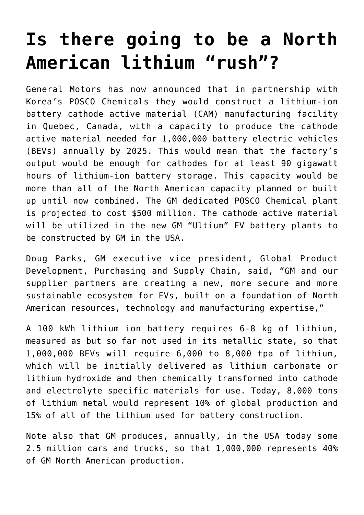## **[Is there going to be a North](https://investorintel.com/markets/technology-metals/technology-metals-intel/the-north-american-lithium-rush-is-on/) [American lithium "rush"?](https://investorintel.com/markets/technology-metals/technology-metals-intel/the-north-american-lithium-rush-is-on/)**

General Motors has now announced that in partnership with Korea's POSCO Chemicals they would construct a lithium-ion battery cathode active material (CAM) manufacturing facility in Quebec, Canada, with a capacity to produce the cathode active material needed for 1,000,000 battery electric vehicles (BEVs) annually by 2025. This would mean that the factory's output would be enough for cathodes for at least 90 gigawatt hours of lithium-ion battery storage. This capacity would be more than all of the North American capacity planned or built up until now combined. The GM dedicated POSCO Chemical plant is projected to cost \$500 million. The cathode active material will be utilized in the new GM "Ultium" EV battery plants to be constructed by GM in the USA.

Doug Parks, GM executive vice president, Global Product Development, Purchasing and Supply Chain, said, "GM and our supplier partners are creating a new, more secure and more sustainable ecosystem for EVs, built on a foundation of North American resources, technology and manufacturing expertise,"

A 100 kWh lithium ion battery requires 6-8 kg of lithium, measured as but so far not used in its metallic state, so that 1,000,000 BEVs will require 6,000 to 8,000 tpa of lithium, which will be initially delivered as lithium carbonate or lithium hydroxide and then chemically transformed into cathode and electrolyte specific materials for use. Today, 8,000 tons of lithium metal would represent 10% of global production and 15% of all of the lithium used for battery construction.

Note also that GM produces, annually, in the USA today some 2.5 million cars and trucks, so that 1,000,000 represents 40% of GM North American production.